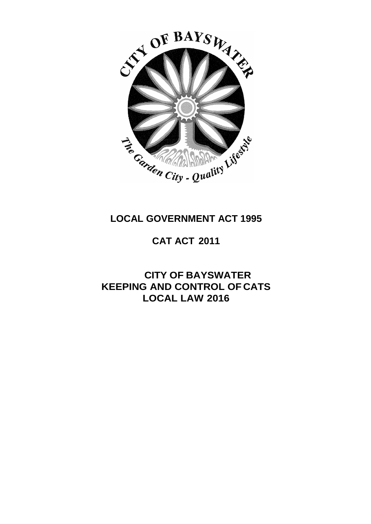

# **LOCAL GOVERNMENT ACT 1995**

# **CAT ACT 2011**

**CITY OF BAYSWATER KEEPING AND CONTROL OF CATS LOCAL LAW 2016**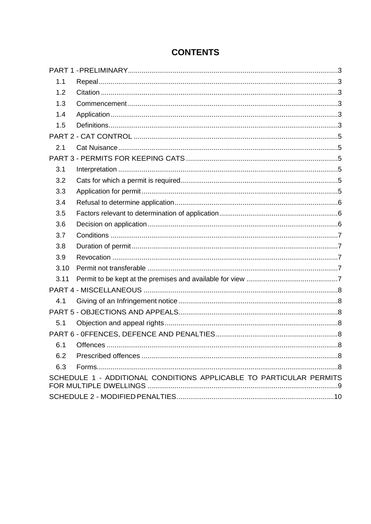# **CONTENTS**

| 1.1                                                                 |  |  |  |  |
|---------------------------------------------------------------------|--|--|--|--|
| 1.2                                                                 |  |  |  |  |
| 1.3                                                                 |  |  |  |  |
| 1.4                                                                 |  |  |  |  |
| 1.5                                                                 |  |  |  |  |
|                                                                     |  |  |  |  |
| 2.1                                                                 |  |  |  |  |
|                                                                     |  |  |  |  |
| 3.1                                                                 |  |  |  |  |
| 3.2                                                                 |  |  |  |  |
| 3.3                                                                 |  |  |  |  |
| 3.4                                                                 |  |  |  |  |
| 3.5                                                                 |  |  |  |  |
| 3.6                                                                 |  |  |  |  |
| 3.7                                                                 |  |  |  |  |
| 3.8                                                                 |  |  |  |  |
| 3.9                                                                 |  |  |  |  |
| 3.10                                                                |  |  |  |  |
| 3.11                                                                |  |  |  |  |
|                                                                     |  |  |  |  |
| 4.1                                                                 |  |  |  |  |
|                                                                     |  |  |  |  |
| 5.1                                                                 |  |  |  |  |
|                                                                     |  |  |  |  |
|                                                                     |  |  |  |  |
| 6.2                                                                 |  |  |  |  |
| 6.3                                                                 |  |  |  |  |
| SCHEDULE 1 - ADDITIONAL CONDITIONS APPLICABLE TO PARTICULAR PERMITS |  |  |  |  |
|                                                                     |  |  |  |  |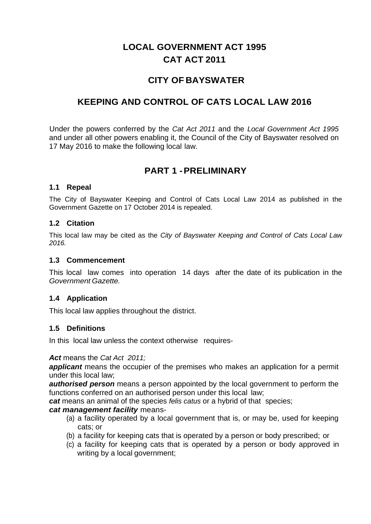# **LOCAL GOVERNMENT ACT 1995 CAT ACT 2011**

## **CITY OF BAYSWATER**

## **KEEPING AND CONTROL OF CATS LOCAL LAW 2016**

<span id="page-2-0"></span>Under the powers conferred by the *Cat Act 2011* and the *Local Government Act 1995*  and under all other powers enabling it, the Council of the City of Bayswater resolved on 17 May 2016 to make the following local law.

## **PART 1 -PRELIMINARY**

#### <span id="page-2-1"></span>**1.1 Repeal**

The City of Bayswater Keeping and Control of Cats Local Law 2014 as published in the Government Gazette on 17 October 2014 is repealed.

#### <span id="page-2-2"></span>**1.2 Citation**

This local law may be cited as the *City of Bayswater Keeping and Control of Cats Local Law 2016.*

#### <span id="page-2-3"></span>**1.3 Commencement**

This local law comes into operation 14 days after the date of its publication in the *Government Gazette.*

#### <span id="page-2-4"></span>**1.4 Application**

This local law applies throughout the district.

#### <span id="page-2-5"></span>**1.5 Definitions**

In this local law unless the context otherwise requires-

#### *Act* means the *Cat Act 2011;*

**applicant** means the occupier of the premises who makes an application for a permit under this local law;

*authorised person* means a person appointed by the local government to perform the functions conferred on an authorised person under this local law;

*cat* means an animal of the species *felis catus* or a hybrid of that species;

#### *cat management facility* means-

- (a) a facility operated by a local government that is, or may be, used for keeping cats; or
- (b) a facility for keeping cats that is operated by a person or body prescribed; or
- (c) a facility for keeping cats that is operated by a person or body approved in writing by a local government;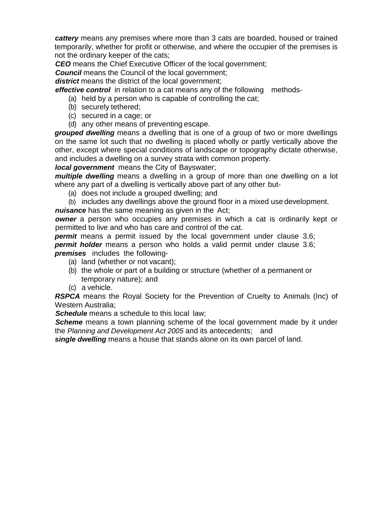*cattery* means any premises where more than 3 cats are boarded, housed or trained temporarily, whether for profit or otherwise, and where the occupier of the premises is not the ordinary keeper of the cats;

**CEO** means the Chief Executive Officer of the local government;

**Council** means the Council of the local government:

*district* means the district of the local government;

*effective control* in relation to a cat means any of the following methods-

- (a) held by a person who is capable of controlling the cat;
- (b) securely tethered;
- (c) secured in a cage; or
- (d) any other means of preventing escape.

*grouped dwelling* means a dwelling that is one of a group of two or more dwellings on the same lot such that no dwelling is placed wholly or partly vertically above the other, except where special conditions of landscape or topography dictate otherwise, and includes a dwelling on a survey strata with common property.

*local government* means the City of Bayswater;

*multiple dwelling* means a dwelling in a group of more than one dwelling on a lot where any part of a dwelling is vertically above part of any other but-

(a) does not include a grouped dwelling; and

(b) includes any dwellings above the ground floor in a mixed use development. *nuisance* has the same meaning as given in the Act;

*owner* a person who occupies any premises in which a cat is ordinarily kept or permitted to live and who has care and control of the cat.

**permit** means a permit issued by the local government under clause 3.6; **permit holder** means a person who holds a valid permit under clause 3.6; *premises* includes the following-

- (a) land (whether or not vacant);
- (b) the whole or part of a building or structure (whether of a permanent or temporary nature); and
- (c) a vehicle.

*RSPCA* means the Royal Society for the Prevention of Cruelty to Animals (Inc) of Western Australia;

*Schedule* means a schedule to this local law;

**Scheme** means a town planning scheme of the local government made by it under the *Planning and Development Act 2005* and its antecedents; and

*single dwelling* means a house that stands alone on its own parcel of land.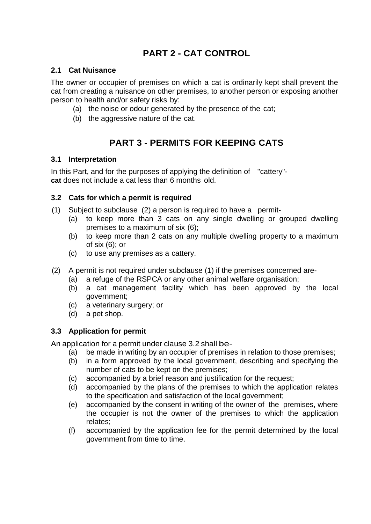# **PART 2 - CAT CONTROL**

#### <span id="page-4-1"></span><span id="page-4-0"></span>**2.1 Cat Nuisance**

The owner or occupier of premises on which a cat is ordinarily kept shall prevent the cat from creating a nuisance on other premises, to another person or exposing another person to health and/or safety risks by:

- (a) the noise or odour generated by the presence of the cat;
- <span id="page-4-2"></span>(b) the aggressive nature of the cat.

# **PART 3 - PERMITS FOR KEEPING CATS**

#### <span id="page-4-3"></span>**3.1 Interpretation**

In this Part, and for the purposes of applying the definition of "cattery" **cat** does not include a cat less than 6 months old.

### <span id="page-4-4"></span>**3.2 Cats for which a permit is required**

- (1) Subject to subclause (2) a person is required to have a permit-
	- (a) to keep more than 3 cats on any single dwelling or grouped dwelling premises to a maximum of six (6);
	- (b) to keep more than 2 cats on any multiple dwelling property to a maximum of six (6); or
	- (c) to use any premises as a cattery.
- (2) A permit is not required under subclause (1) if the premises concerned are-
	- (a) a refuge of the RSPCA or any other animal welfare organisation;
	- (b) a cat management facility which has been approved by the local government;
	- (c) a veterinary surgery; or
	- (d) a pet shop.

### <span id="page-4-5"></span>**3.3 Application for permit**

An application for a permit under clause 3.2 shall be-

- (a) be made in writing by an occupier of premises in relation to those premises;
- (b) in a form approved by the local government, describing and specifying the number of cats to be kept on the premises;
- (c) accompanied by a brief reason and justification for the request;
- (d) accompanied by the plans of the premises to which the application relates to the specification and satisfaction of the local government;
- (e) accompanied by the consent in writing of the owner of the premises, where the occupier is not the owner of the premises to which the application relates;
- (f) accompanied by the application fee for the permit determined by the local government from time to time.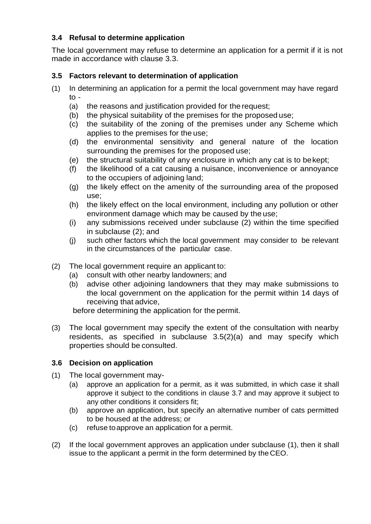### <span id="page-5-0"></span>**3.4 Refusal to determine application**

The local government may refuse to determine an application for a permit if it is not made in accordance with clause 3.3.

### <span id="page-5-1"></span>**3.5 Factors relevant to determination of application**

- (1) In determining an application for a permit the local government may have regard to -
	- (a) the reasons and justification provided for the request;
	- (b) the physical suitability of the premises for the proposed use;
	- (c) the suitability of the zoning of the premises under any Scheme which applies to the premises for the use;
	- (d) the environmental sensitivity and general nature of the location surrounding the premises for the proposed use;
	- (e) the structural suitability of any enclosure in which any cat is to bekept;
	- (f) the likelihood of a cat causing a nuisance, inconvenience or annoyance to the occupiers of adjoining land;
	- (g) the likely effect on the amenity of the surrounding area of the proposed use;
	- (h) the likely effect on the local environment, including any pollution or other environment damage which may be caused by the use;
	- (i) any submissions received under subclause (2) within the time specified in subclause (2); and
	- (j) such other factors which the local government may consider to be relevant in the circumstances of the particular case.
- (2) The local government require an applicant to:
	- (a) consult with other nearby landowners; and
	- (b) advise other adjoining landowners that they may make submissions to the local government on the application for the permit within 14 days of receiving that advice,

before determining the application for the permit.

(3) The local government may specify the extent of the consultation with nearby residents, as specified in subclause 3.5(2)(a) and may specify which properties should be consulted.

### <span id="page-5-2"></span>**3.6 Decision on application**

- (1) The local government may-
	- (a) approve an application for a permit, as it was submitted, in which case it shall approve it subject to the conditions in clause 3.7 and may approve it subject to any other conditions it considers fit;
	- (b) approve an application, but specify an alternative number of cats permitted to be housed at the address; or
	- (c) refuse toapprove an application for a permit.
- (2) If the local government approves an application under subclause (1), then it shall issue to the applicant a permit in the form determined by theCEO.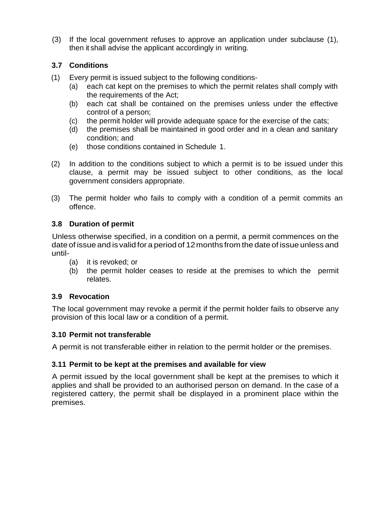(3) If the local government refuses to approve an application under subclause (1), then it shall advise the applicant accordingly in writing.

### <span id="page-6-0"></span>**3.7 Conditions**

- (1) Every permit is issued subject to the following conditions-
	- (a) each cat kept on the premises to which the permit relates shall comply with the requirements of the Act;
	- (b) each cat shall be contained on the premises unless under the effective control of a person;
	- (c) the permit holder will provide adequate space for the exercise of the cats;
	- (d) the premises shall be maintained in good order and in a clean and sanitary condition; and
	- (e) those conditions contained in Schedule 1.
- (2) In addition to the conditions subject to which a permit is to be issued under this clause, a permit may be issued subject to other conditions, as the local government considers appropriate.
- (3) The permit holder who fails to comply with a condition of a permit commits an offence.

### <span id="page-6-1"></span>**3.8 Duration of permit**

Unless otherwise specified, in a condition on a permit, a permit commences on the date of issue and is valid for a period of 12months from the date of issue unless and until-

- (a) it is revoked; or
- (b) the permit holder ceases to reside at the premises to which the permit relates.

### <span id="page-6-2"></span>**3.9 Revocation**

The local government may revoke a permit if the permit holder fails to observe any provision of this local law or a condition of a permit.

### <span id="page-6-3"></span>**3.10 Permit not transferable**

A permit is not transferable either in relation to the permit holder or the premises.

### <span id="page-6-4"></span>**3.11 Permit to be kept at the premises and available for view**

A permit issued by the local government shall be kept at the premises to which it applies and shall be provided to an authorised person on demand. In the case of a registered cattery, the permit shall be displayed in a prominent place within the premises.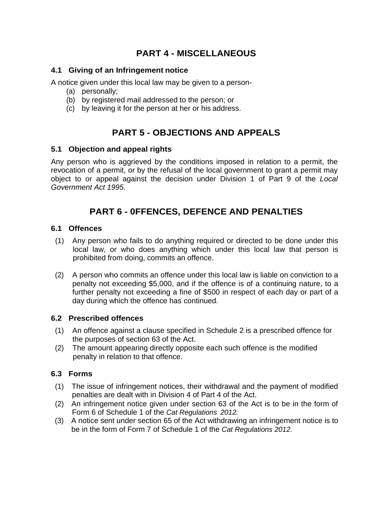# **PART 4 - MISCELLANEOUS**

#### <span id="page-7-1"></span><span id="page-7-0"></span>**4.1 Giving of an Infringement notice**

A notice given under this local law may be given to a person-

- (a) personally;
- (b) by registered mail addressed to the person; or
- <span id="page-7-2"></span>(c) by leaving it for the person at her or his address.

## **PART 5 - OBJECTIONS AND APPEALS**

### <span id="page-7-3"></span>**5.1 Objection and appeal rights**

Any person who is aggrieved by the conditions imposed in relation to a permit, the revocation of a permit, or by the refusal of the local government to grant a permit may object to or appeal against the decision under Division 1 of Part 9 of the *Local Government Act 1995.*

# **PART 6 - 0FFENCES, DEFENCE AND PENALTIES**

#### <span id="page-7-5"></span><span id="page-7-4"></span>**6.1 Offences**

- (1) Any person who fails to do anything required or directed to be done under this local law, or who does anything which under this local law that person is prohibited from doing, commits an offence.
- (2) A person who commits an offence under this local law is liable on conviction to a penalty not exceeding \$5,000, and if the offence is of a continuing nature, to a further penalty not exceeding a fine of \$500 in respect of each day or part of a day during which the offence has continued.

### <span id="page-7-6"></span>**6.2 Prescribed offences**

- (1) An offence against a clause specified in Schedule 2 is a prescribed offence for the purposes of section 63 of the Act.
- (2) The amount appearing directly opposite each such offence is the modified penalty in relation to that offence.

### <span id="page-7-7"></span>**6.3 Forms**

- (1) The issue of infringement notices, their withdrawal and the payment of modified penalties are dealt with in Division 4 of Part 4 of the Act.
- (2) An infringement notice given under section 63 of the Act is to be in the form of Form 6 of Schedule 1 of the *Cat Regulations 2012.*
- (3) A notice sent under section 65 of the Act withdrawing an infringement notice is to be in the form of Form 7 of Schedule 1 of the *Cat Regulations 2012.*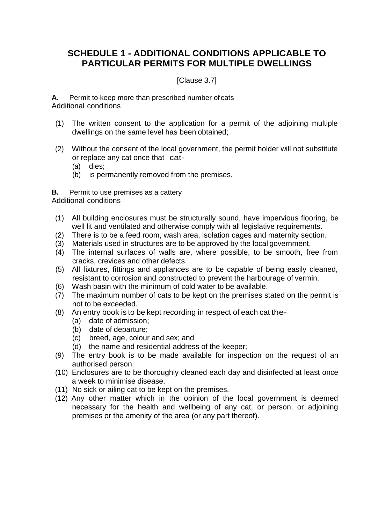## <span id="page-8-0"></span>**SCHEDULE 1 - ADDITIONAL CONDITIONS APPLICABLE TO PARTICULAR PERMITS FOR MULTIPLE DWELLINGS**

### [Clause 3.7]

**A.** Permit to keep more than prescribed number of cats Additional conditions

- (1) The written consent to the application for a permit of the adjoining multiple dwellings on the same level has been obtained;
- (2) Without the consent of the local government, the permit holder will not substitute or replace any cat once that cat-
	- (a) dies;
	- (b) is permanently removed from the premises.
- **B.** Permit to use premises as a cattery

Additional conditions

- (1) All building enclosures must be structurally sound, have impervious flooring, be well lit and ventilated and otherwise comply with all legislative requirements.
- (2) There is to be a feed room, wash area, isolation cages and maternity section.
- (3) Materials used in structures are to be approved by the local government.
- (4) The internal surfaces of walls are, where possible, to be smooth, free from cracks, crevices and other defects.
- (5) All fixtures, fittings and appliances are to be capable of being easily cleaned, resistant to corrosion and constructed to prevent the harbourage of vermin.
- (6) Wash basin with the minimum of cold water to be available.
- (7) The maximum number of cats to be kept on the premises stated on the permit is not to be exceeded.
- (8) An entry book is to be kept recording in respect of each cat the-
	- (a) date of admission;
	- (b) date of departure;
	- (c) breed, age, colour and sex; and
	- (d) the name and residential address of the keeper;
- (9) The entry book is to be made available for inspection on the request of an authorised person.
- (10) Enclosures are to be thoroughly cleaned each day and disinfected at least once a week to minimise disease.
- (11) No sick or ailing cat to be kept on the premises.
- (12) Any other matter which in the opinion of the local government is deemed necessary for the health and wellbeing of any cat, or person, or adjoining premises or the amenity of the area (or any part thereof).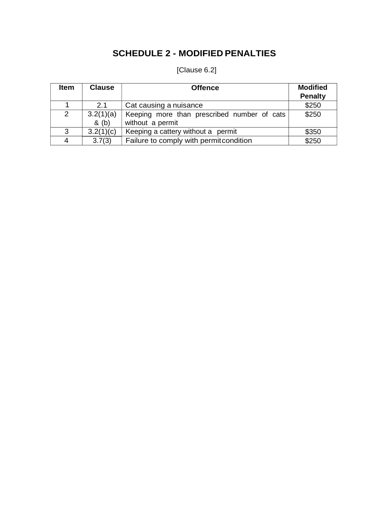# **SCHEDULE 2 - MODIFIED PENALTIES**

<span id="page-9-0"></span>

| <b>Item</b>    | <b>Clause</b> | <b>Offence</b>                              | <b>Modified</b><br><b>Penalty</b> |
|----------------|---------------|---------------------------------------------|-----------------------------------|
|                |               |                                             |                                   |
|                | 2.1           | Cat causing a nuisance                      | \$250                             |
| $\overline{2}$ | 3.2(1)(a)     | Keeping more than prescribed number of cats | \$250                             |
|                | $\&$ (b)      | without a permit                            |                                   |
| 3              | 3.2(1)(c)     | Keeping a cattery without a permit          | \$350                             |
|                | 3.7(3)        | Failure to comply with permit condition     | \$250                             |

[Clause 6.2]